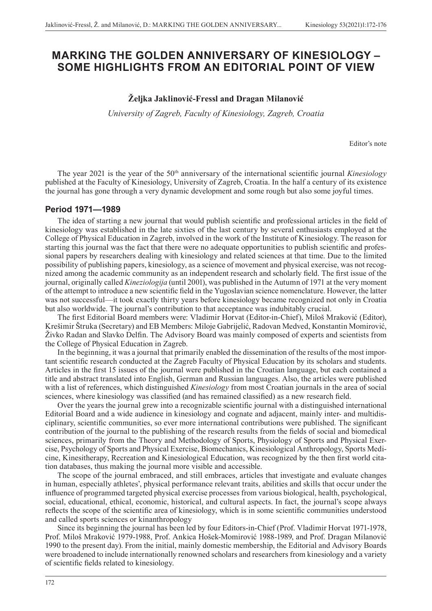# **MARKING THE GOLDEN ANNIVERSARY OF KINESIOLOGY – SOME HIGHLIGHTS FROM AN EDITORIAL POINT OF VIEW**

# **Željka Jaklinović-Fressl and Dragan Milanović**

*University of Zagreb, Faculty of Kinesiology, Zagreb, Croatia*

Editor's note

The year 2021 is the year of the 50<sup>th</sup> anniversary of the international scientific journal *Kinesiology* published at the Faculty of Kinesiology, University of Zagreb, Croatia. In the half a century of its existence the journal has gone through a very dynamic development and some rough but also some joyful times.

## **Period 1971—1989**

The idea of starting a new journal that would publish scientific and professional articles in the field of kinesiology was established in the late sixties of the last century by several enthusiasts employed at the College of Physical Education in Zagreb, involved in the work of the Institute of Kinesiology. The reason for starting this journal was the fact that there were no adequate opportunities to publish scientific and professional papers by researchers dealing with kinesiology and related sciences at that time. Due to the limited possibility of publishing papers, kinesiology, as a science of movement and physical exercise, was not recognized among the academic community as an independent research and scholarly field. The first issue of the journal, originally called *Kineziologija* (until 2001), was published in the Autumn of 1971 at the very moment of the attempt to introduce a new scientific field in the Yugoslavian science nomenclature. However, the latter was not successful—it took exactly thirty years before kinesiology became recognized not only in Croatia but also worldwide. The journal's contribution to that acceptance was indubitably crucial.

The first Editorial Board members were: Vladimir Horvat (Editor-in-Chief), Miloš Mraković (Editor), Krešimir Štruka (Secretary) and EB Members: Miloje Gabrijelić, Radovan Medved, Konstantin Momirović, Živko Radan and Slavko Delfin. The Advisory Board was mainly composed of experts and scientists from the College of Physical Education in Zagreb.

In the beginning, it was a journal that primarily enabled the dissemination of the results of the most important scientific research conducted at the Zagreb Faculty of Physical Education by its scholars and students. Articles in the first 15 issues of the journal were published in the Croatian language, but each contained a title and abstract translated into English, German and Russian languages. Also, the articles were published with a list of references, which distinguished *Kinesiology* from most Croatian journals in the area of social sciences, where kinesiology was classified (and has remained classified) as a new research field.

Over the years the journal grew into a recognizable scientific journal with a distinguished international Editorial Board and a wide audience in kinesiology and cognate and adjacent, mainly inter- and multidisciplinary, scientific communities, so ever more international contributions were published. The significant contribution of the journal to the publishing of the research results from the fields of social and biomedical sciences, primarily from the Theory and Methodology of Sports, Physiology of Sports and Physical Exercise, Psychology of Sports and Physical Exercise, Biomechanics, Kinesiological Anthropology, Sports Medicine, Kinesitherapy, Recreation and Kinesiological Education, was recognized by the then first world citation databases, thus making the journal more visible and accessible.

The scope of the journal embraced, and still embraces, articles that investigate and evaluate changes in human, especially athletes', physical performance relevant traits, abilities and skills that occur under the influence of programmed targeted physical exercise processes from various biological, health, psychological, social, educational, ethical, economic, historical, and cultural aspects. In fact, the journal's scope always reflects the scope of the scientific area of kinesiology, which is in some scientific communities understood and called sports sciences or kinanthropology

Since its beginning the journal has been led by four Editors-in-Chief (Prof. Vladimir Horvat 1971-1978, Prof. Miloš Mraković 1979-1988, Prof. Ankica Hošek-Momirović 1988-1989, and Prof. Dragan Milanović 1990 to the present day). From the initial, mainly domestic membership, the Editorial and Advisory Boards were broadened to include internationally renowned scholars and researchers from kinesiology and a variety of scientific fields related to kinesiology.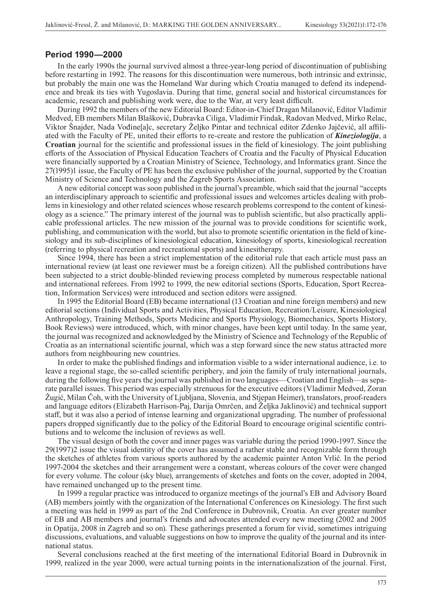#### **Period 1990—2000**

In the early 1990s the journal survived almost a three-year-long period of discontinuation of publishing before restarting in 1992. The reasons for this discontinuation were numerous, both intrinsic and extrinsic, but probably the main one was the Homeland War during which Croatia managed to defend its independence and break its ties with Yugoslavia. During that time, general social and historical circumstances for academic, research and publishing work were, due to the War, at very least difficult.

During 1992 the members of the new Editorial Board: Editor-in-Chief Dragan Milanović, Editor Vladimir Medved, EB members Milan Blašković, Dubravka Ciliga, Vladimir Findak, Radovan Medved, Mirko Relac, Viktor Šnajder, Nada Vođine[a]c, secretary Željko Pintar and technical editor Zdenko Jajčević, all affiliated with the Faculty of PE, united their efforts to re-create and restore the publication of *Kineziologija*, a **Croatian** journal for the scientific and professional issues in the field of kinesiology. The joint publishing efforts of the Association of Physical Education Teachers of Croatia and the Faculty of Physical Education were financially supported by a Croatian Ministry of Science, Technology, and Informatics grant. Since the 27(1995)1 issue, the Faculty of PE has been the exclusive publisher of the journal, supported by the Croatian Ministry of Science and Technology and the Zagreb Sports Association.

A new editorial concept was soon published in the journal's preamble, which said that the journal "accepts an interdisciplinary approach to scientific and professional issues and welcomes articles dealing with problems in kinesiology and other related sciences whose research problems correspond to the content of kinesiology as a science." The primary interest of the journal was to publish scientific, but also practically applicable professional articles. The new mission of the journal was to provide conditions for scientific work, publishing, and communication with the world, but also to promote scientific orientation in the field of kinesiology and its sub-disciplines of kinesiological education, kinesiology of sports, kinesiological recreation (referring to physical recreation and recreational sports) and kinesitherapy.

Since 1994, there has been a strict implementation of the editorial rule that each article must pass an international review (at least one reviewer must be a foreign citizen). All the published contributions have been subjected to a strict double-blinded reviewing process completed by numerous respectable national and international referees. From 1992 to 1999, the new editorial sections (Sports, Education, Sport Recreation, Information Services) were introduced and section editors were assigned.

In 1995 the Editorial Board (EB) became international (13 Croatian and nine foreign members) and new editorial sections (Individual Sports and Activities, Physical Education, Recreation/Leisure, Kinesiological Anthropology, Training Methods, Sports Medicine and Sports Physiology, Biomechanics, Sports History, Book Reviews) were introduced, which, with minor changes, have been kept until today. In the same year, the journal was recognized and acknowledged by the Ministry of Science and Technology of the Republic of Croatia as an international scientific journal, which was a step forward since the new status attracted more authors from neighbouring new countries.

In order to make the published findings and information visible to a wider international audience, i.e. to leave a regional stage, the so-called scientific periphery, and join the family of truly international journals, during the following five years the journal was published in two languages—Croatian and English—as separate parallel issues. This period was especially strenuous for the executive editors (Vladimir Medved, Zoran Žugić, Milan Čoh, with the University of Ljubljana, Slovenia, and Stjepan Heimer), translators, proof-readers and language editors (Elizabeth Harrison-Paj, Darija Omrčen, and Željka Jaklinović) and technical support staff, but it was also a period of intense learning and organizational upgrading. The number of professional papers dropped significantly due to the policy of the Editorial Board to encourage original scientific contributions and to welcome the inclusion of reviews as well.

The visual design of both the cover and inner pages was variable during the period 1990-1997. Since the 29(1997)2 issue the visual identity of the cover has assumed a rather stable and recognizable form through the sketches of athletes from various sports authored by the academic painter Anton Vrlić. In the period 1997-2004 the sketches and their arrangement were a constant, whereas colours of the cover were changed for every volume. The colour (sky blue), arrangements of sketches and fonts on the cover, adopted in 2004, have remained unchanged up to the present time.

In 1999 a regular practice was introduced to organize meetings of the journal's EB and Advisory Board (AB) members jointly with the organization of the International Conferences on Kinesiology. The first such a meeting was held in 1999 as part of the 2nd Conference in Dubrovnik, Croatia. An ever greater number of EB and AB members and journal's friends and advocates attended every new meeting (2002 and 2005 in Opatija, 2008 in Zagreb and so on). These gatherings presented a forum for vivid, sometimes intriguing discussions, evaluations, and valuable suggestions on how to improve the quality of the journal and its international status.

Several conclusions reached at the first meeting of the international Editorial Board in Dubrovnik in 1999, realized in the year 2000, were actual turning points in the internationalization of the journal. First,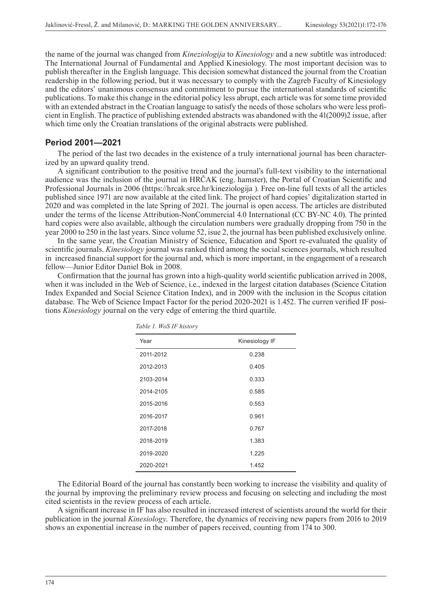the name of the journal was changed from *Kineziologija* to *Kinesiology* and a new subtitle was introduced: The International Journal of Fundamental and Applied Kinesiology. The most important decision was to publish thereafter in the English language. This decision somewhat distanced the journal from the Croatian readership in the following period, but it was necessary to comply with the Zagreb Faculty of Kinesiology and the editors' unanimous consensus and commitment to pursue the international standards of scientific publications. To make this change in the editorial policy less abrupt, each article was for some time provided with an extended abstract in the Croatian language to satisfy the needs of those scholars who were less proficient in English. The practice of publishing extended abstracts was abandoned with the 41(2009)2 issue, after which time only the Croatian translations of the original abstracts were published.

## **Period 2001—2021**

The period of the last two decades in the existence of a truly international journal has been characterized by an upward quality trend.

A significant contribution to the positive trend and the journal's full-text visibility to the international audience was the inclusion of the journal in HRČAK (eng. hamster), the Portal of Croatian Scientific and Professional Journals in 2006 (https://hrcak.srce.hr/kineziologija ). Free on-line full texts of all the articles published since 1971 are now available at the cited link. The project of hard copies' digitalization started in 2020 and was completed in the late Spring of 2021. The journal is open access. The articles are distributed under the terms of the license Attribution-NonCommercial 4.0 International (CC BY-NC 4.0). The printed hard copies were also available, although the circulation numbers were gradually dropping from 750 in the year 2000 to 250 in the last years. Since volume 52, isue 2, the journal has been published exclusively online.

In the same year, the Croatian Ministry of Science, Education and Sport re-evaluated the quality of scientific journals. *Kinesiology* journal was ranked third among the social sciences journals, which resulted in increased financial support for the journal and, which is more important, in the engagement of a research fellow—Junior Editor Daniel Bok in 2008.

Confirmation that the journal has grown into a high-quality world scientific publication arrived in 2008, when it was included in the Web of Science, i.e., indexed in the largest citation databases (Science Citation Index Expanded and Social Science Citation Index), and in 2009 with the inclusion in the Scopus citation database. The Web of Science Impact Factor for the period 2020-2021 is 1.452. The curren verified IF positions *Kinesiology* journal on the very edge of entering the third quartile.

| Year      | Kinesiology IF |  |
|-----------|----------------|--|
| 2011-2012 | 0.238          |  |
| 2012-2013 | 0.405          |  |
| 2103-2014 | 0.333          |  |
| 2014-2105 | 0.585          |  |
| 2015-2016 | 0.553          |  |
| 2016-2017 | 0.961          |  |
| 2017-2018 | 0.767          |  |
| 2018-2019 | 1.383          |  |
| 2019-2020 | 1.225          |  |
| 2020-2021 | 1.452          |  |

*Table 1. WoS IF history*

The Editorial Board of the journal has constantly been working to increase the visibility and quality of the journal by improving the preliminary review process and focusing on selecting and including the most cited scientists in the review process of each article.

A significant increase in IF has also resulted in increased interest of scientists around the world for their publication in the journal *Kinesiology*. Therefore, the dynamics of receiving new papers from 2016 to 2019 shows an exponential increase in the number of papers received, counting from 174 to 300.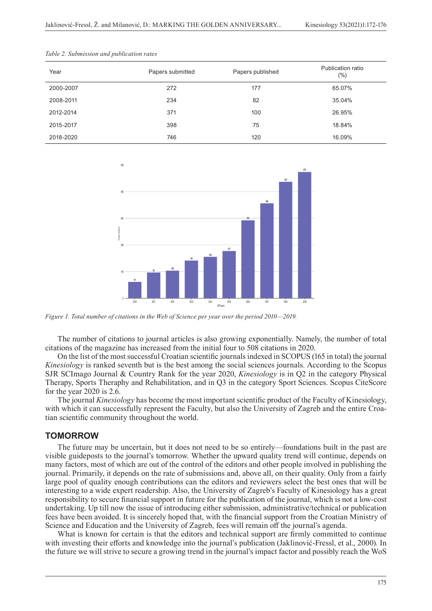| Year      | Papers submitted | Papers published | Publication ratio<br>(%) |
|-----------|------------------|------------------|--------------------------|
| 2000-2007 | 272              | 177              | 65.07%                   |
| 2008-2011 | 234              | 82               | 35.04%                   |
| 2012-2014 | 371              | 100              | 26.95%                   |
| 2015-2017 | 398              | 75               | 18.84%                   |
| 2018-2020 | 746              | 120              | 16.09%                   |

*Table 2. Submission and publication rates*



*Figure 1. Total number of citations in the Web of Science per year over the period 2010—2019.*

The number of citations to journal articles is also growing exponentially. Namely, the number of total citations of the magazine has increased from the initial four to 508 citations in 2020.

On the list of the most successful Croatian scientific journals indexed in SCOPUS (165 in total) the journal *Kinesiology* is ranked seventh but is the best among the social sciences journals. According to the Scopus SJR SCImago Journal & Country Rank for the year 2020, *Kinesiology* is in Q2 in the category Physical Therapy, Sports Theraphy and Rehabilitation, and in Q3 in the category Sport Sciences. Scopus CiteScore for the year 2020 is 2.6.

The journal *Kinesiology* has become the most important scientific product of the Faculty of Kinesiology, with which it can successfully represent the Faculty, but also the University of Zagreb and the entire Croatian scientific community throughout the world.

## **TOMORROW**

The future may be uncertain, but it does not need to be so entirely—foundations built in the past are visible guideposts to the journal's tomorrow. Whether the upward quality trend will continue, depends on many factors, most of which are out of the control of the editors and other people involved in publishing the journal. Primarily, it depends on the rate of submissions and, above all, on their quality. Only from a fairly large pool of quality enough contributions can the editors and reviewers select the best ones that will be interesting to a wide expert readership. Also, the University of Zagreb's Faculty of Kinesiology has a great responsibility to secure financial support in future for the publication of the journal, which is not a low-cost undertaking. Up till now the issue of introducing either submission, administrative/technical or publication fees have been avoided. It is sincerely hoped that, with the financial support from the Croatian Ministry of Science and Education and the University of Zagreb, fees will remain off the journal's agenda.

What is known for certain is that the editors and technical support are firmly committed to continue with investing their efforts and knowledge into the journal's publication (Jaklinović-Fressl, et al., 2000). In the future we will strive to secure a growing trend in the journal's impact factor and possibly reach the WoS